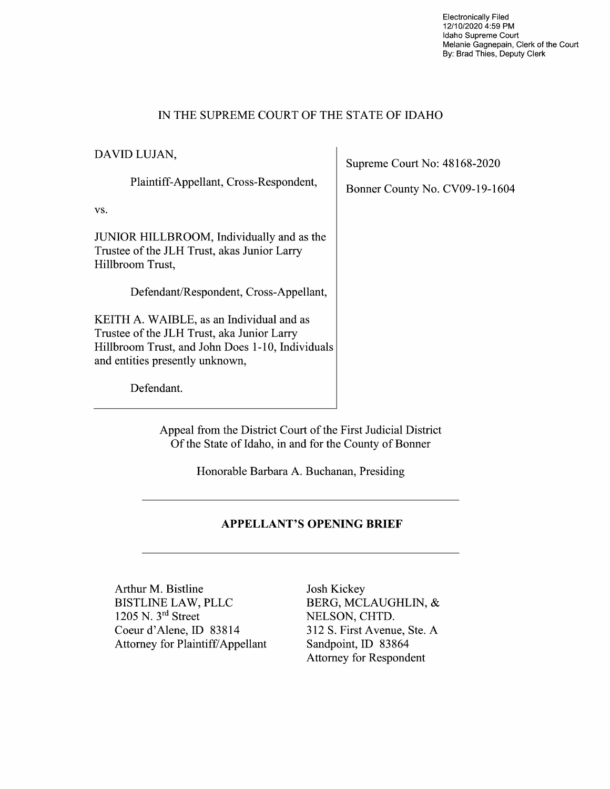Electronically Filed 12/10/2020 4:59 PM Idaho Supreme Court Melanie Gagnepain, Clerk of the Court By: Brad Thies, Deputy Clerk

### IN THE SUPREME COURT OF THE STATE OF IDAHO

DAVID LUJAN,

Plaintiff-Appellant, Cross—Respondent,

vs.

JUNIOR HILLBROOM, Individually and as the Trustee of the JLH Trust, akas Junior Larry Hillbroom Trust,

Defendant/Respondent, Cross—Appellant,

KEITH A. WAIBLE, as an Individual and as Trustee of the JLH Trust, aka Junior Larry Hillbroom Trust, and John Does 1-10, Individuals and entities presently unknown,

Defendant.

Supreme Court No: 48168-2020

Bonner County No. CV09-19-1604

Appeal from the District Court 0f the First Judicial District Of the State 0f Idaho, in and for the County 0f Bonner

Honorable Barbara A. Buchanan, Presiding

### APPELLANT'S OPENING BRIEF

Arthur M. Bistline Josh Kickey BISTLINE LAW, PLLC BERG, MCLAUGHLIN, & 1205 N. 3rd Street Coeur d'Alene, ID 83814 312 S. First Avenue, Ste. A Attorney for Plaintiff/Appellant Sandpoint, ID 83864

NELSON, CHTD. Attorney for Respondent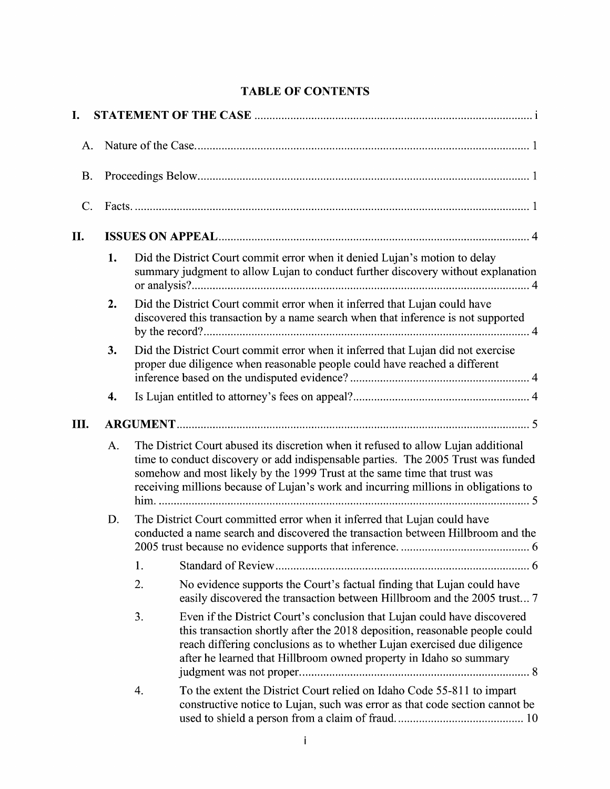# TABLE OF CONTENTS

| I.        |    |                                                                                                                                                                                                                                                                                                                                             |                                                                                                                                                                                                                                                                                                          |  |  |
|-----------|----|---------------------------------------------------------------------------------------------------------------------------------------------------------------------------------------------------------------------------------------------------------------------------------------------------------------------------------------------|----------------------------------------------------------------------------------------------------------------------------------------------------------------------------------------------------------------------------------------------------------------------------------------------------------|--|--|
| A.        |    |                                                                                                                                                                                                                                                                                                                                             |                                                                                                                                                                                                                                                                                                          |  |  |
| <b>B.</b> |    |                                                                                                                                                                                                                                                                                                                                             |                                                                                                                                                                                                                                                                                                          |  |  |
| C.        |    |                                                                                                                                                                                                                                                                                                                                             |                                                                                                                                                                                                                                                                                                          |  |  |
| II.       |    |                                                                                                                                                                                                                                                                                                                                             |                                                                                                                                                                                                                                                                                                          |  |  |
|           | 1. |                                                                                                                                                                                                                                                                                                                                             | Did the District Court commit error when it denied Lujan's motion to delay<br>summary judgment to allow Lujan to conduct further discovery without explanation                                                                                                                                           |  |  |
|           | 2. |                                                                                                                                                                                                                                                                                                                                             | Did the District Court commit error when it inferred that Lujan could have<br>discovered this transaction by a name search when that inference is not supported                                                                                                                                          |  |  |
|           | 3. |                                                                                                                                                                                                                                                                                                                                             | Did the District Court commit error when it inferred that Lujan did not exercise<br>proper due diligence when reasonable people could have reached a different                                                                                                                                           |  |  |
|           | 4. |                                                                                                                                                                                                                                                                                                                                             |                                                                                                                                                                                                                                                                                                          |  |  |
| Ш.        |    |                                                                                                                                                                                                                                                                                                                                             |                                                                                                                                                                                                                                                                                                          |  |  |
|           | A. | The District Court abused its discretion when it refused to allow Lujan additional<br>time to conduct discovery or add indispensable parties. The 2005 Trust was funded<br>somehow and most likely by the 1999 Trust at the same time that trust was<br>receiving millions because of Lujan's work and incurring millions in obligations to |                                                                                                                                                                                                                                                                                                          |  |  |
|           | D. |                                                                                                                                                                                                                                                                                                                                             | The District Court committed error when it inferred that Lujan could have<br>conducted a name search and discovered the transaction between Hillbroom and the                                                                                                                                            |  |  |
|           |    | 1.                                                                                                                                                                                                                                                                                                                                          |                                                                                                                                                                                                                                                                                                          |  |  |
|           |    | 2.                                                                                                                                                                                                                                                                                                                                          | No evidence supports the Court's factual finding that Lujan could have<br>easily discovered the transaction between Hillbroom and the 2005 trust 7                                                                                                                                                       |  |  |
|           |    | 3.                                                                                                                                                                                                                                                                                                                                          | Even if the District Court's conclusion that Lujan could have discovered<br>this transaction shortly after the 2018 deposition, reasonable people could<br>reach differing conclusions as to whether Lujan exercised due diligence<br>after he learned that Hillbroom owned property in Idaho so summary |  |  |
|           |    | 4.                                                                                                                                                                                                                                                                                                                                          | To the extent the District Court relied on Idaho Code 55-811 to impart<br>constructive notice to Lujan, such was error as that code section cannot be                                                                                                                                                    |  |  |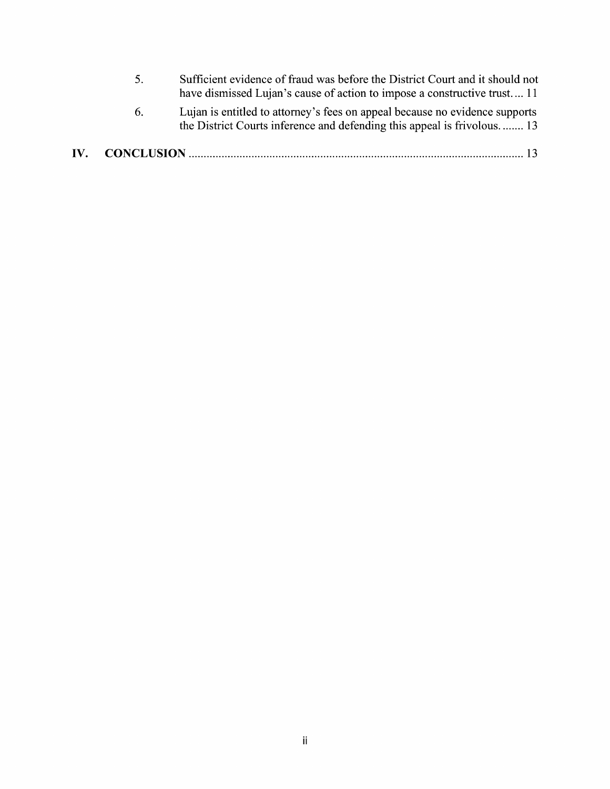- 5. Sufficient evidence 0f fraud was before the District Court and it should not have dismissed Lujan's cause of action to impose a constructive trust. ... 11
- 6. Lujan is entitled t0 attorney's fees 0n appeal because n0 evidence supports the District Courts inference and defending this appeal is frivolous. ....... 13

# IV. CONCLUSION ................................................................................................................ <sup>13</sup>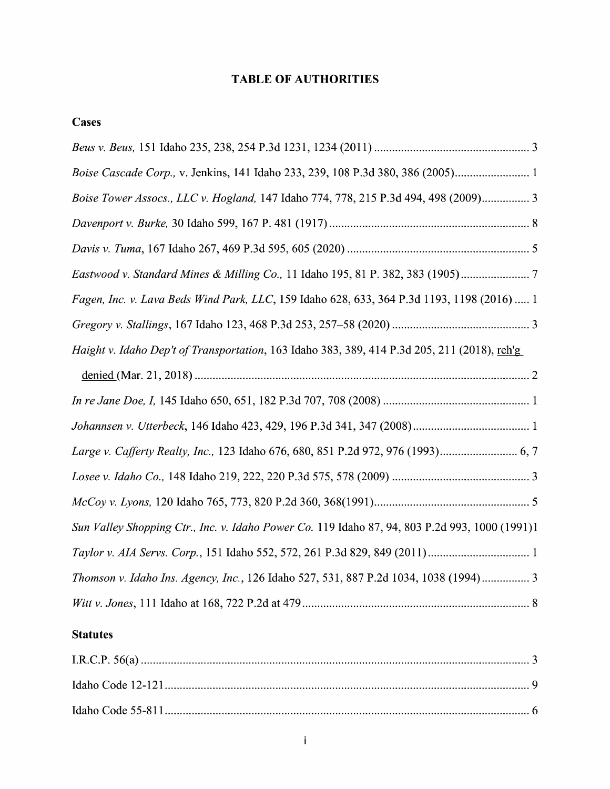# TABLE OF AUTHORITIES

## **Cases**

| Cases                                                                                          |
|------------------------------------------------------------------------------------------------|
|                                                                                                |
|                                                                                                |
| Boise Tower Assocs., LLC v. Hogland, 147 Idaho 774, 778, 215 P.3d 494, 498 (2009) 3            |
|                                                                                                |
|                                                                                                |
| Eastwood v. Standard Mines & Milling Co., 11 Idaho 195, 81 P. 382, 383 (1905)                  |
| Fagen, Inc. v. Lava Beds Wind Park, LLC, 159 Idaho 628, 633, 364 P.3d 1193, 1198 (2016)  1     |
|                                                                                                |
| Haight v. Idaho Dep't of Transportation, 163 Idaho 383, 389, 414 P.3d 205, 211 (2018), reh'g   |
|                                                                                                |
|                                                                                                |
|                                                                                                |
|                                                                                                |
|                                                                                                |
|                                                                                                |
| Sun Valley Shopping Ctr., Inc. v. Idaho Power Co. 119 Idaho 87, 94, 803 P.2d 993, 1000 (1991)1 |
|                                                                                                |
| Thomson v. Idaho Ins. Agency, Inc., 126 Idaho 527, 531, 887 P.2d 1034, 1038 (1994) 3           |
|                                                                                                |

# **Statutes**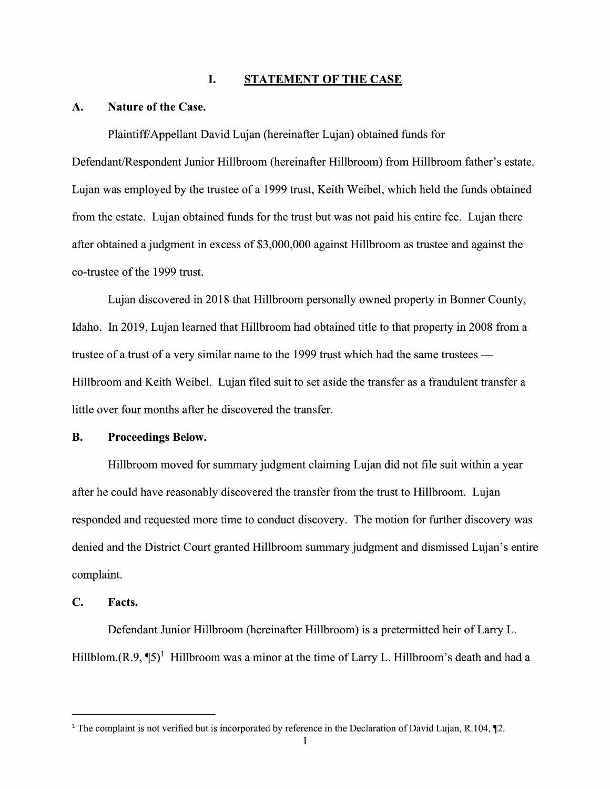### I. STATEMENT OF THE CASE

#### A. Nature 0f the Case.

Plaintiff/Appellant David Lujan (hereinafter Lujan) obtained funds for

Defendant/Respondent Junior Hillbroom (hereinafter Hillbroom) from Hillbroom father's estate. Lujan was employed by the trustee of a 1999 trust, Keith Weibel, which held the funds obtained from the estate. Lujan obtained funds for the trust but was not paid his entire fee. Lujan there after obtained a judgment in excess of \$3,000,000 against Hillbroom as trustee and against the co-trustee 0f the 1999 trust.

Lujan discovered in 2018 that Hillbroom personally owned property in Bonner County, Idaho. In 2019, Lujan learned that Hillbroom had obtained title to that property in 2008 from a trustee of a trust of a very similar name to the 1999 trust which had the same trustees  $-$ Hillbroom and Keith Weibel. Lujan filed suit to set aside the transfer as a fraudulent transfer a little over four months after he discovered the transfer.

### B. Proceedings Below.

Hillbroom moved for summary judgment claiming Lujan did not file suit within a year after he could have reasonably discovered the transfer from the trust to Hillbroom. Lujan responded and requested more time to conduct discovery. The motion for further discovery was denied and the District Court granted Hillbroom summary judgment and dismissed Lujan's entire complaint.

### C. Facts.

Defendant Junior Hillbroom (hereinafter Hillbroom) is a pretermitted heir of Larry L. Hillblom. $(R.9, \P 5)^1$  Hillbroom was a minor at the time of Larry L. Hillbroom's death and had a

<sup>&</sup>lt;sup>1</sup> The complaint is not verified but is incorporated by reference in the Declaration of David Lujan, R.104,  $\P$ 2.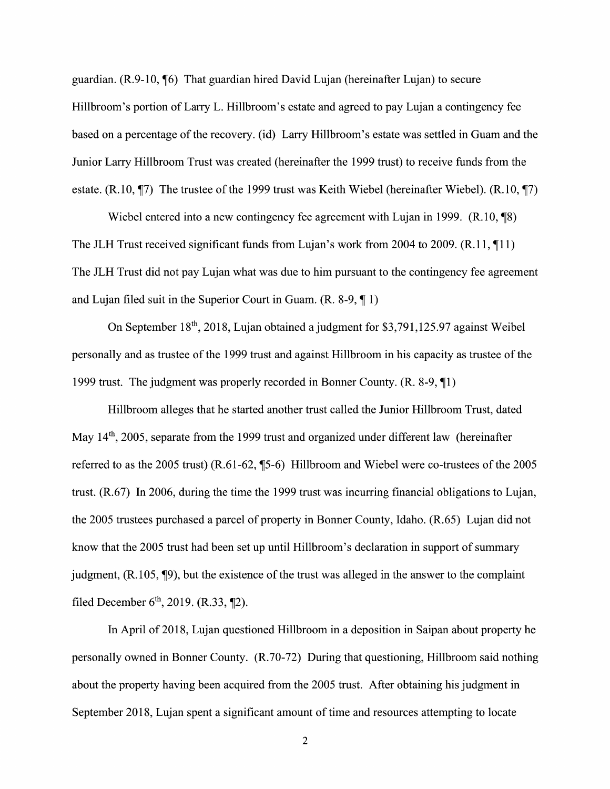guardian.  $(R.9-10, \frac{1}{16})$  That guardian hired David Lujan (hereinafter Lujan) to secure Hillbroom's portion of Larry L. Hillbroom's estate and agreed to pay Lujan a contingency fee based on a percentage of the recovery. (id) Larry Hillbroom's estate was settled in Guam and the Junior Larry Hillbroom Trust was created (hereinafter the 1999 trust) to receive funds from the estate. (R.10,  $\P$ 7) The trustee of the 1999 trust was Keith Wiebel (hereinafter Wiebel). (R.10,  $\P$ 7)

Wiebel entered into a new contingency fee agreement with Lujan in 1999.  $(R.10, \text{m/s})$ The JLH Trust received significant funds from Lujan's work from 2004 to 2009.  $(R.11, \text{I}1)$ The JLH Trust did not pay Lujan what was due to him pursuant to the contingency fee agreement and Lujan filed suit in the Superior Court in Guam.  $(R. 8-9, \P 1)$ 

On September  $18<sup>th</sup>$ , 2018, Lujan obtained a judgment for \$3,791,125.97 against Weibel personally and as trustee 0f the 1999 trust and against Hillbroom in his capacity as trustee 0f the 1999 trust. The judgment was properly recorded in Bonner County.  $(R. 8-9, \P1)$ 

Hillbroom alleges that he started another trust called the Junior Hillbroom Trust, dated May 14<sup>th</sup>, 2005, separate from the 1999 trust and organized under different law (hereinafter referred to as the 2005 trust)  $(R.61-62, \frac{15}{6})$  Hillbroom and Wiebel were co-trustees of the 2005 trust. (R.67) In 2006, during the time the 1999 trust was incurring financial obligations to Lujan, the 2005 trustees purchased a parcel of property in Bonner County, Idaho. (R.65) Lujan did not know that the 2005 trust had been set up until Hillbroom's declaration in support of summary judgment,  $(R.105, \P9)$ , but the existence of the trust was alleged in the answer to the complaint filed December  $6^{th}$ , 2019. (R.33, ¶2).

In April of 2018, Lujan questioned Hillbroom in a deposition in Saipan about property he personally owned in Bonner County. (R.70-72) During that questioning, Hillbroom said nothing about the property having been acquired from the 2005 trust. After obtaining his judgment in September 2018, Lujan spent a significant amount of time and resources attempting to locate

 $\overline{2}$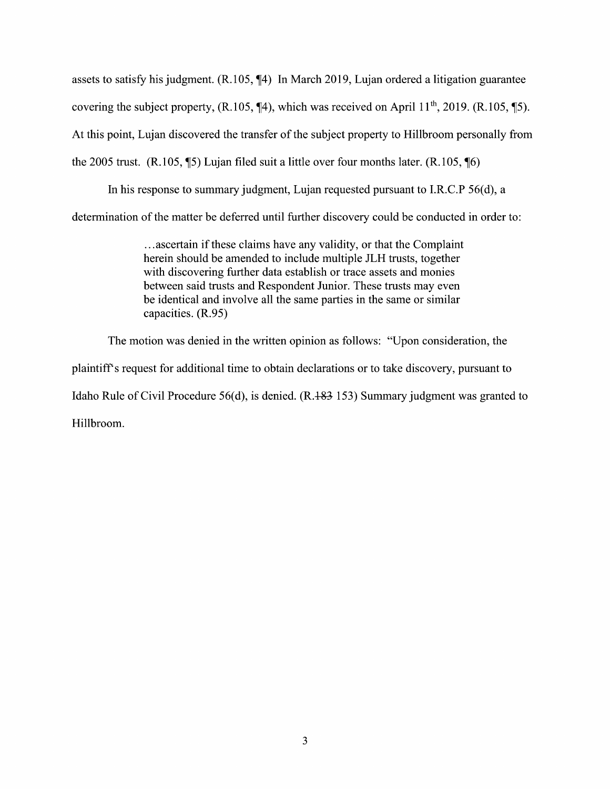assets to satisfy his judgment.  $(R.105, \mathcal{N}4)$  In March 2019, Lujan ordered a litigation guarantee covering the subject property,  $(R.105, \P4)$ , which was received on April 11<sup>th</sup>, 2019.  $(R.105, \P5)$ . At this point, Lujan discovered the transfer of the subject property to Hillbroom personally from the 2005 trust. (R.105,  $\$\$ ) Lujan filed suit a little over four months later. (R.105,  $\$\$ 

In his response to summary judgment, Lujan requested pursuant to I.R.C.P  $56(d)$ , a determination of the matter be deferred until further discovery could be conducted in order to:

> ...ascertain if these claims have any validity, or that the Complaint herein should be amended to include multiple JLH trusts, together with discovering further data establish or trace assets and monies between said trusts and Respondent Junior. These trusts may even be identical and involve all the same parties in the same or similar capacities.  $(R.95)$

The motion was denied in the written opinion as follows: "Upon consideration, the

plaintiff's request for additional time to obtain declarations 0r to take discovery, pursuant to

Idaho Rule of Civil Procedure 56(d), is denied.  $(R.483 153)$  Summary judgment was granted to

Hillbroom.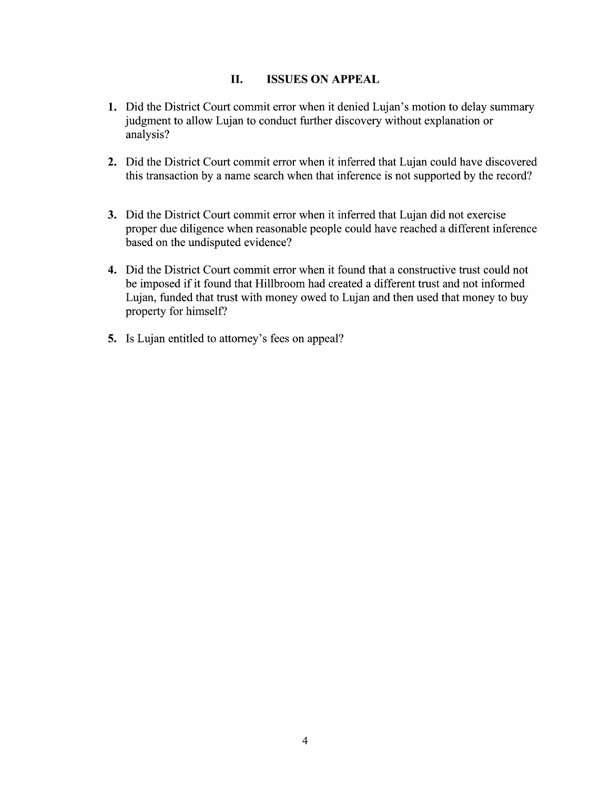### II. ISSUES ON APPEAL

- 1. Did the District Court commit error when it denied Lujan's motion to delay summary judgment to allow Lujan to conduct further discovery without explanation or analysis?
- 2. Did the District Court commit error when it inferred that Lujan could have discovered this transaction by a name search when that inference is not supported by the record?
- 3. Did the District Court commit error when it inferred that Lujan did not exercise proper due diligence when reasonable people could have reached a different inference based 0n the undisputed evidence?
- 4. Did the District Court commit error when it found that a constructive trust could not be imposed if it found that Hillbroom had created a different trust and not informed Lujan, funded that trust with money owed to Lujan and then used that money to buy property for himself?
- 5. Is Lujan entitled to attorney's fees on appeal?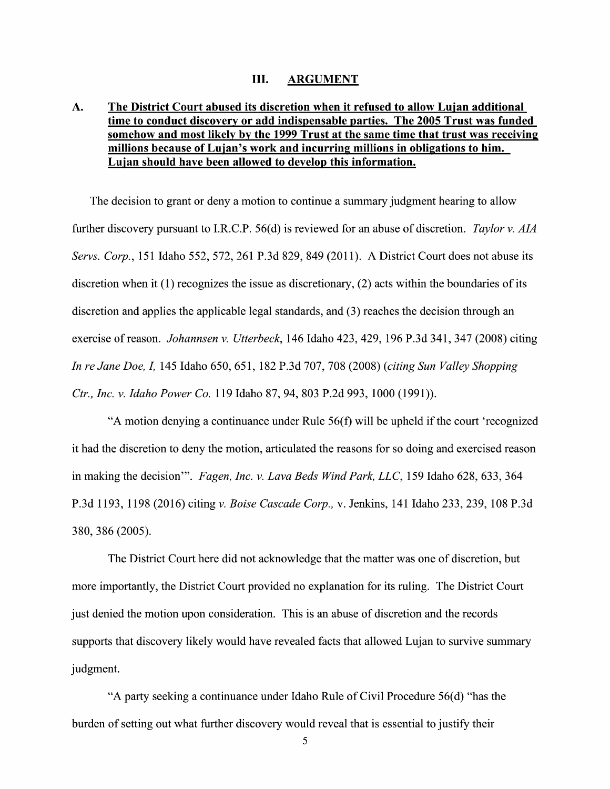#### III. ARGUMENT

# A. The District Court abused its discretion When it refused t0 allow Luian additional time to conduct discovery or add indispensable parties. The 2005 Trust was funded somehow and most likelv bv the 1999 Trust at the same time that trust was receiving millions because 0f Luian's work and incurring millions in obligations t0 him. somehow and most likely by the 1999 Trust at the same time that<br>millions because of Lujan's work and incurring millions in obliga<br>Lujan should have been allowed to develop this information.

The decision to grant or deny a motion to continue a summary judgment hearing to allow further discovery pursuant to I.R.C.P. 56(d) is reviewed for an abuse of discretion. Taylor v. AIA Servs. Corp., 151 Idaho 552, 572, 261 P.3d 829, 849 (2011). A District Court does not abuse its discretion When it (1) recognizes the issue as discretionary, (2) acts within the boundaries of its discretion and applies the applicable legal standards, and (3) reaches the decision through an<br>exercise of reason. *Johannsen v. Utterbeck*, 146 Idaho 423, 429, 196 P.3d 341, 347 (2008) citing In re Jane Doe, I, 145 Idaho 650, 651, 182 P.3d 707, 708 (2008) (Citing Sun Valley Shopping Ctr., Inc. v. Idaho Power Co. 119 Idaho 87, 94, 803 P.2d 993, 1000 (1991)).

"A motion denying a continuance under Rule  $56(f)$  will be upheld if the court 'recognized it had the discretion to deny the motion, articulated the reasons for so doing and exercised reason in making the decision'". Fagen, Inc. v. Lava Beds Wind Park, LLC, 159 Idaho 628, 633, 364 P.3d 1193, 1198 (2016) citing v. Boise Cascade Corp., v. Jenkins, 141 Idaho 233, 239, 108 P.3d 380, 386 (2005).

The District Court here did not acknowledge that the matter was one of discretion, but more importantly, the District Court provided no explanation for its ruling. The District Court just denied the motion upon consideration. This is an abuse of discretion and the records supports that discovery likely would have revealed facts that allowed Lujan to survive summary judgment.

"A party seeking a continuance under Idaho Rule of Civil Procedure  $56(d)$  "has the burden of setting out what further discovery would reveal that is essential to justify their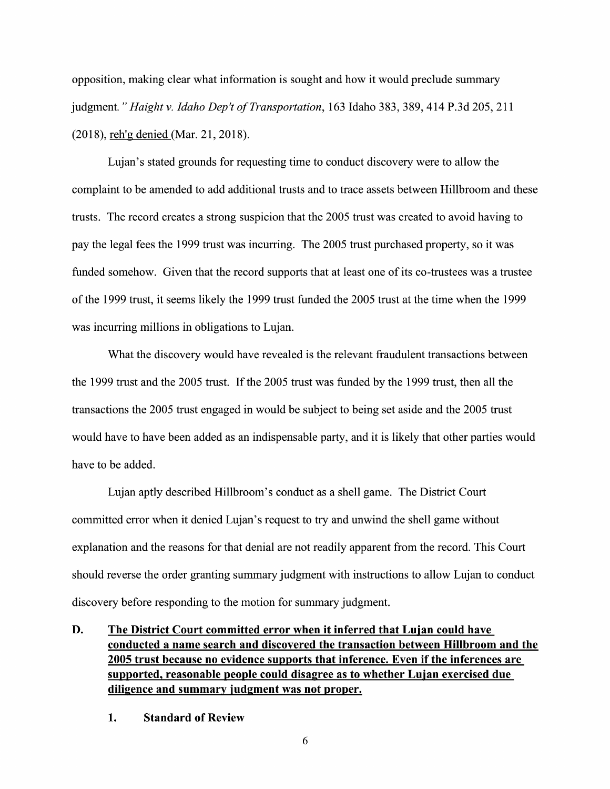opposition, making clear what information is sought and how it would preclude summary judgment." Haight v. Idaho Dep't of Transportation, 163 Idaho 383, 389, 414 P.3d 205, 211 (2018), reh'g denied (Mar. 21, 2018).

Lujan's stated grounds for requesting time to conduct discovery were to allow the complaint to be amended to add additional trusts and to trace assets between Hillbroom and these trusts. The record creates a strong suspicion that the 2005 trust was created to avoid having to pay the legal fees the 1999 trust was incurring. The 2005 trust purchased property, so it was funded somehow. Given that the record supports that at least one of its co-trustees was a trustee 0f the 1999 trust, it seems likely the 1999 trust funded the 2005 trust at the time When the 1999 was incurring millions in obligations to Lujan.

What the discovery would have revealed is the relevant fraudulent transactions between the 1999 trust and the 2005 trust. If the 2005 trust was funded by the 1999 trust, then all the transactions the 2005 trust engaged in would be subject to being set aside and the 2005 trust would have to have been added as an indispensable party, and it is likely that other parties would have to be added.

Lujan aptly described Hillbroom's conduct as a shell game. The District Court committed error when it denied Lujan's request to try and unwind the shell game without explanation and the reasons for that denial are not readily apparent from the record. This Court should reverse the order granting summary judgment with instructions to allow Lujan to conduct discovery before responding to the motion for summary judgment.

D. The District Court committed error when it inferred that Lujan could have conducted name search and discovered the transaction between Hillbroom and the 2005 trust because no evidence supports that inference. Even if the inferences are supported, reasonable people could disagree as to whether Lujan exercised due diligence and summarv iudgment was not proper.

1. Standard 0f Review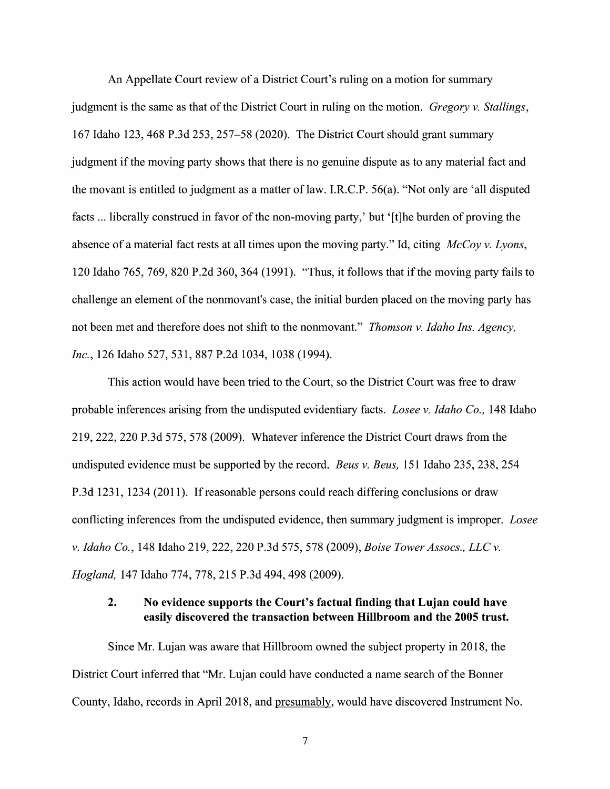An Appellate Court review of a District Court's ruling on a motion for summary judgment is the same as that of the District Court in ruling on the motion. Gregory v. Stallings, 167 Idaho 123, 468 P.3d 253, 257—58 (2020). The District Court should grant summary judgment if the moving party shows that there is no genuine dispute as to any material fact and the movant is entitled to judgment as a matter of law. I.R.C.P. 56(a). "Not only are 'all disputed facts ... liberally construed in favor of the non-moving party,' but '[t]he burden of proving the absence of a material fact rests at all times upon the moving party." Id, citing  $McCov v. Lvons$ , <sup>120</sup> Idaho 765, 769, <sup>820</sup> P.2d 360, <sup>364</sup> (1991). "Thus, it follows that if the moving party fails t0 challenge an element 0f the nonmovant's case, the initial burden placed on the moving party has not been met and therefore does not shift to the nonmovant." *Thomson v. Idaho Ins. Agency*, Inc., 126 Idaho 527, 531, 887 P.2d 1034, 1038 (1994).

This action would have been tried to the Court, so the District Court was free to draw probable inferences arising from the undisputed evidentiary facts. *Losee v. Idaho Co.*, 148 Idaho 219, 222, 220 P.3d 575, 578 (2009). Whatever inference the District Court draws from the undisputed evidence must be supported by the record. *Beus v. Beus*, 151 Idaho 235, 238, 254 P.3d 1231, 1234 (2011). If reasonable persons could reach differing conclusions or draw conflicting inferences from the undisputed evidence, then summary judgment is improper. Losee v. Idaho Co., 148 Idaho 219, 222, 220 P.3d 575, 578 (2009), Boise Tower Assocs., LLC v. Hogland, <sup>147</sup> Idaho 774, 778, <sup>215</sup> P.3d 494, <sup>498</sup> (2009).

### 2. No evidence supports the Court's factual finding that Lujan could have easily discovered the transaction between Hillbroom and the 2005 trust.

Since Mr. Lujan was aware that Hillbroom owned the subject property in 2018, the District Court inferred that "Mr. Lujan could have conducted a name search of the Bonner County, Idaho, records in April 2018, and presumably, would have discovered Instrument N0.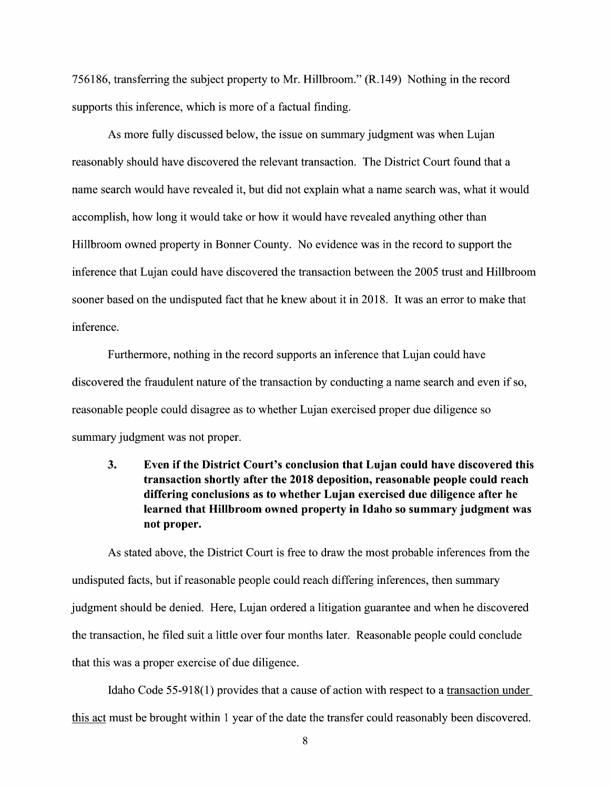756186, transferring the subject property to Mr. Hillbroom." (R. 149) Nothing in the record supports this inference, which is more of a factual finding.

As more fully discussed below, the issue on summary judgment was when Lujan reasonably should have discovered the relevant transaction. The District Court found that name search would have revealed it, but did not explain what a name search was, what it would accomplish, how long it would take or how it would have revealed anything other than Hillbroom owned property in Bonner County. No evidence was in the record to support the inference that Lujan could have discovered the transaction between the 2005 trust and Hillbroom sooner based 0n the undisputed fact that he knew about it in 2018. It was an error to make that inference.

Furthermore, nothing in the record supports an inference that Lujan could have discovered the fraudulent nature of the transaction by conducting a name search and even if so, reasonable people could disagree as to whether Lujan exercised proper due diligence so summary judgment was not proper.

3. Even if the District Court's conclusion that Lujan could have discovered this transaction shortly after the 2018 deposition, reasonable people could reach differing conclusions as to whether Lujan exercised due diligence after he learned that Hillbroom owned property in Idaho so summary judgment was not proper.

As stated above, the District Court is free to draw the most probable inferences from the undisputed facts, but if reasonable people could reach differing inferences, then summary judgment should be denied. Here, Lujan ordered a litigation guarantee and when he discovered the transaction, he filed suit a little over four months later. Reasonable people could conclude that this was proper exercise 0f due diligence.

Idaho Code 55-918(1) provides that a cause of action with respect to a transaction under this act must be brought within 1 year of the date the transfer could reasonably been discovered.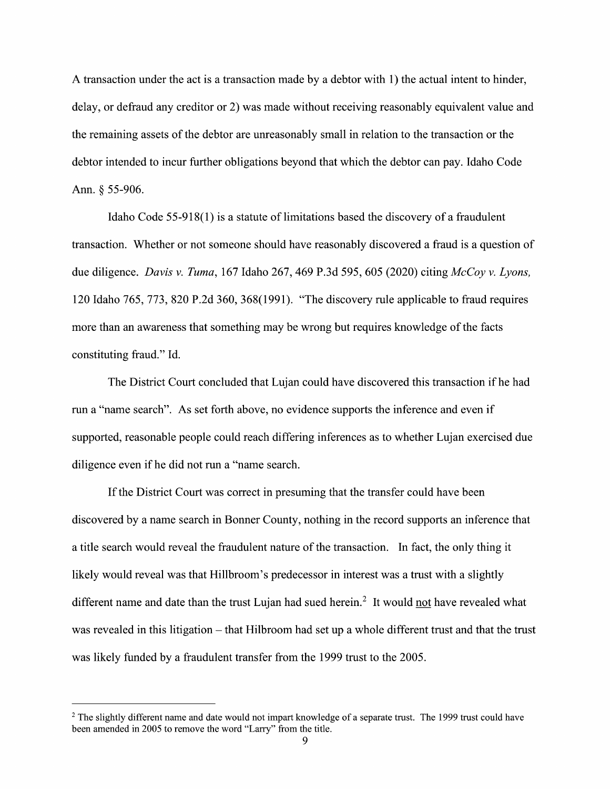A transaction under the act is a transaction made by a debtor with  $1$ ) the actual intent to hinder, delay, 0r defraud any creditor or 2) was made Without receiving reasonably equivalent value and the remaining assets of the debtor are unreasonably small in relation to the transaction or the debtor intended to incur further obligations beyond that which the debtor can pay. Idaho Code Ann. § 55-906.

Idaho Code  $55-918(1)$  is a statute of limitations based the discovery of a fraudulent transaction. Whether or not someone should have reasonably discovered a fraud is a question of due diligence. Davis v. Tuma, 167 Idaho 267, 469 P.3d 595, 605 (2020) citing  $McCov$  v. Lyons, due diligence. *Davis v. Tuma*, 167 Idaho 267, 469 P.3d 595, 605 (2020) citing *McCoy v. Lyons,*<br>120 Idaho 765, 773, 820 P.2d 360, 368(1991). "The discovery rule applicable to fraud requires 120 Idaho 765, 773, 820 P.2d 360, 368(1991). "The discovery rule applicable to fraud require<br>more than an awareness that something may be wrong but requires knowledge of the facts constituting fraud." Id.

The District Court concluded that Lujan could have discovered this transaction if he had run a "name search". As set forth above, no evidence supports the inference and even if supported, reasonable people could reach differing inferences as to whether Lujan exercised due diligence even if he did not run a "name search.

If the District Court was correct in presuming that the transfer could have been discovered by a name search in Bonner County, nothing in the record supports an inference that a title search would reveal the fraudulent nature of the transaction. In fact, the only thing it likely would reveal was that Hillbroom's predecessor in interest was a trust with a slightly different name and date than the trust Lujan had sued herein.<sup>2</sup> It would not have revealed what was revealed in this litigation – that Hilbroom had set up a whole different trust and that the trust was likely funded by a fraudulent transfer from the 1999 trust to the 2005.

<sup>&</sup>lt;sup>2</sup> The slightly different name and date would not impart knowledge of a separate trust. The 1999 trust could have been amended in 2005 to remove the word "Larry" from the title.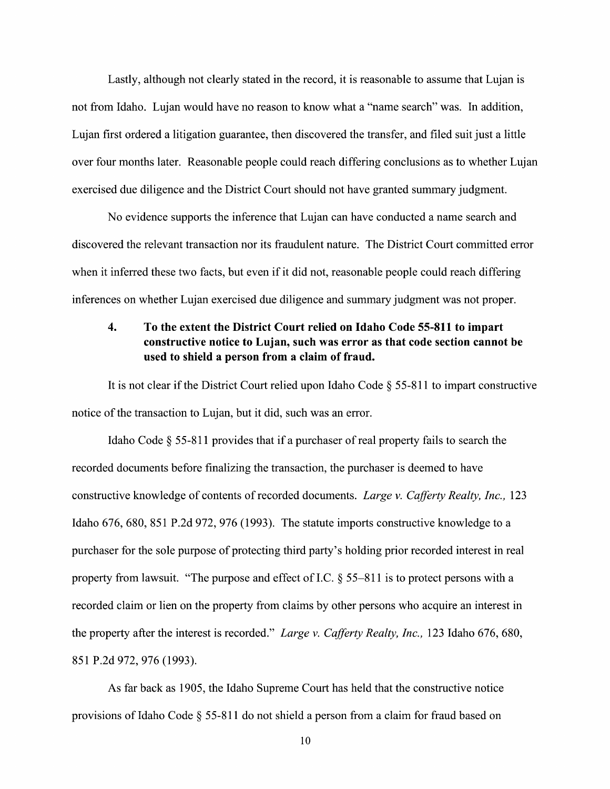Lastly, although not clearly stated in the record, it is reasonable to assume that Lujan is not from Idaho. Lujan would have no reason to know what a "name search" was. In addition, Lujan first ordered a litigation guarantee, then discovered the transfer, and filed suit just a little over four months later. Reasonable people could reach differing conclusions as to whether Lujan exercised due diligence and the District Court should not have granted summary judgment.

No evidence supports the inference that Lujan can have conducted a name search and discovered the relevant transaction nor its fraudulent nature. The District Court committed error When it inferred these two facts, but even if it did not, reasonable people could reach differing inferences 0n whether Lujan exercised due diligence and summary judgment was not proper.

## 4. To the extent the District Court relied on Idaho Code 55-811 to impart constructive notice t0 Lujan, such was error as that code section cannot be used to shield a person from a claim of fraud.

It is not clear if the District Court relied upon Idaho Code  $\S 55-811$  to impart constructive notice of the transaction to Lujan, but it did, such was an error.

Idaho Code  $\S$  55-811 provides that if a purchaser of real property fails to search the recorded documents before finalizing the transaction, the purchaser is deemed to have constructive knowledge of contents of recorded documents. Large v. Cafferty Realty, Inc., 123 Idaho 676, 680, <sup>851</sup> P.2d 972, <sup>976</sup> (1993). The statute imports constructive knowledge to purchaser for the sole purpose 0f protecting third party's holding prior recorded interest in real property from lawsuit. "The purpose and effect of I.C.  $\S$  55–811 is to protect persons with a recorded claim 0r lien on the property from claims by other persons who acquire an interest in the property after the interest is recorded." Large v. Cafferty Realty, Inc., 123 Idaho 676, 680, 851 P.2d 972, 976 (1993).

As far back as 1905, the Idaho Supreme Court has held that the constructive notice provisions of Idaho Code  $\S$  55-811 do not shield a person from a claim for fraud based on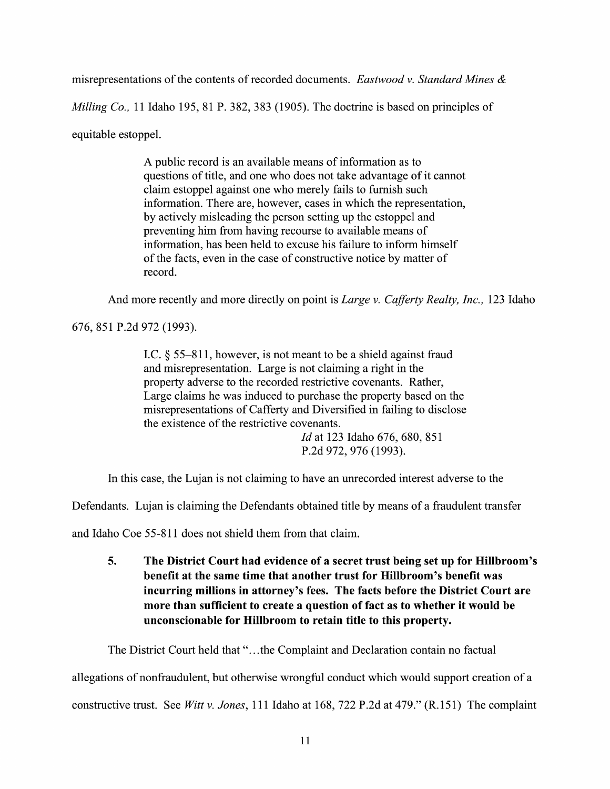misrepresentations of the contents of recorded documents. Eastwood v. Standard Mines  $\&$ 

Milling Co., 11 Idaho 195, 81 P. 382, 383 (1905). The doctrine is based on principles of

equitable estoppel.

A public record is an available means of information as to questions 0f title, and one who does not take advantage of it cannot claim estoppel against one who merely fails to furnish such information. There are, however, cases in which the representation, by actively misleading the person setting up the estoppel and preventing him from having recourse to available means of information, has been held to excuse his failure to inform himself 0f the facts, even in the case 0f constructive notice by matter 0f record.

And more recently and more directly on point is *Large v. Cafferty Realty, Inc.*, 123 Idaho

676, 851 P.2d 972 (1993).

I.C.  $\S$  55–811, however, is not meant to be a shield against fraud and misrepresentation. Large is not claiming a right in the property adverse t0 the recorded restrictive covenants. Rather, Large claims he was induced to purchase the property based on the misrepresentations 0f Cafferty and Diversified in failing to disclose the existence 0f the restrictive covenants.

> Id at 123 Idaho 676, 680, 851 P.2d 972, 976 (1993).

In this case, the Lujan is not claiming to have an unrecorded interest adverse to the

Defendants. Lujan is claiming the Defendants obtained title by means of a fraudulent transfer

and Idaho Coe 55-811 does not shield them from that claim.

5. The District Court had evidence 0f secret trust being set up for Hillbroom's benefit at the same time that another trust for Hillbroom's benefit was incurring millions in attorney's fees. The facts before the District Court are more than sufficient to create a question of fact as to whether it would be unconscionable for Hillbroom to retain title to this property.

The District Court held that "...the Complaint and Declaration contain no factual

allegations of nonfraudulent, but otherwise wrongful conduct which would support creation of a

constructive trust. See Witt v. Jones, 111 Idaho at 168, 722 P.2d at 479." (R.151) The complaint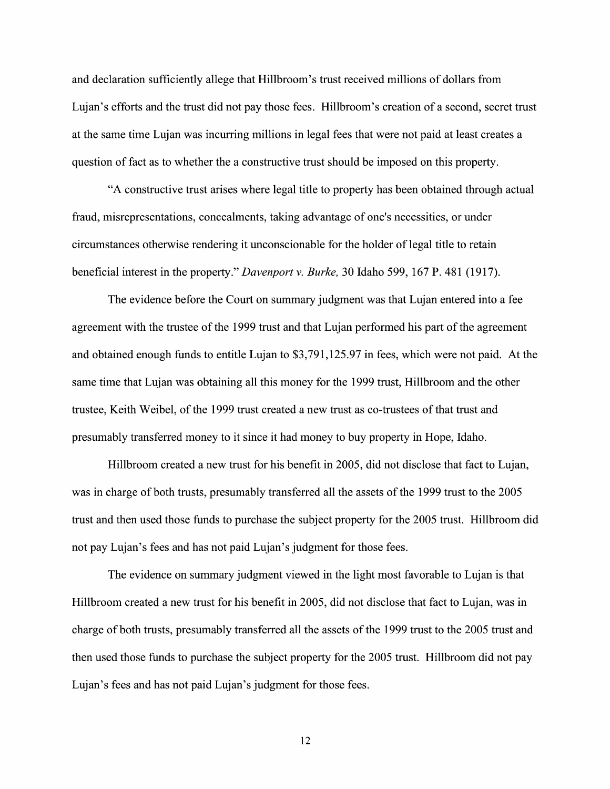and declaration sufficiently allege that Hillbroom's trust received millions of dollars from Lujan's efforts and the trust did not pay those fees. Hillbroom's creation of a second, secret trust at the same time Lujan was incurring millions in legal fees that were not paid at least creates question of fact as to whether the a constructive trust should be imposed on this property.

"A constructive trust arises where legal title to property has been obtained through actual fraud, misrepresentations, concealments, taking advantage of one's necessities, or under circumstances otherwise rendering it unconscionable for the holder of legal title to retain beneficial interest in the property." Davenport v. Burke, 30 Idaho 599, 167 P. 481 (1917).

The evidence before the Court on summary judgment was that Lujan entered into a fee agreement with the trustee of the 1999 trust and that Lujan performed his part of the agreement and obtained enough funds to entitle Lujan to \$3,791,125.97 in fees, which were not paid. At the same time that Lujan was obtaining all this money for the 1999 trust, Hillbroom and the other trustee, Keith Weibel, of the 1999 trust created a new trust as co-trustees of that trust and presumably transferred money to it since it had money to buy property in Hope, Idaho.

Hillbroom created a new trust for his benefit in 2005, did not disclose that fact to Lujan, was in charge of both trusts, presumably transferred all the assets of the 1999 trust to the 2005 trust and then used those funds to purchase the subject property for the 2005 trust. Hillbroom did not pay Lujan's fees and has not paid Lujan's judgment for those fees.

The evidence on summary judgment viewed in the light most favorable to Lujan is that Hillbroom created a new trust for his benefit in 2005, did not disclose that fact to Lujan, was in charge of both trusts, presumably transferred all the assets of the 1999 trust to the 2005 trust and then used those funds to purchase the subject property for the 2005 trust. Hillbroom did not pay Lujan's fees and has not paid Lujan's judgment for those fees.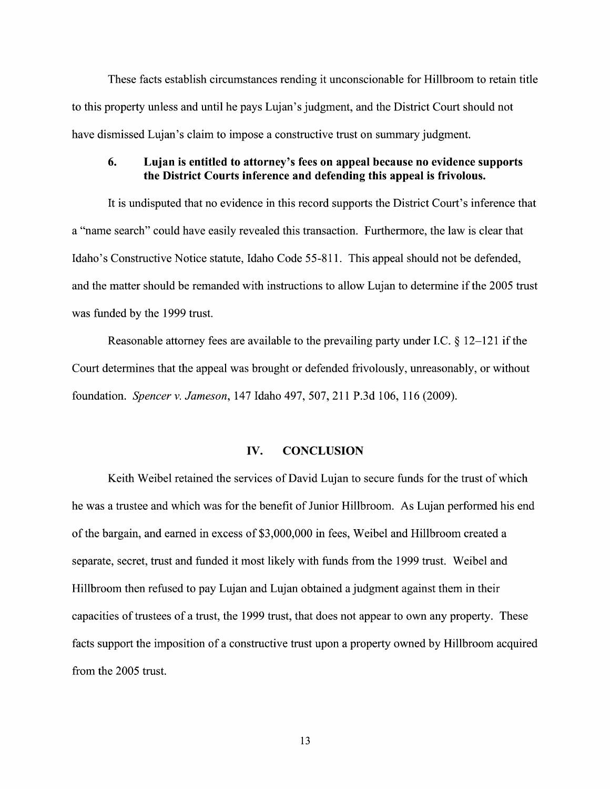These facts establish circumstances rending it unconscionable for Hillbroom to retain title to this property unless and until he pays Lujan's judgment, and the District Court should not have dismissed Lujan's claim to impose a constructive trust on summary judgment.

### 6. Lujan is entitled to attorney's fees on appeal because no evidence supports the District Courts inference and defending this appeal is frivolous.

It is undisputed that n0 evidence in this record supports the District Court's inference that a "name search" could have easily revealed this transaction. Furthermore, the law is clear that Idaho's Constructive Notice statute, Idaho Code 55-81 1. This appeal should not be defended, and the matter should be remanded with instructions to allow Lujan to determine if the 2005 trust was funded by the 1999 trust.

Reasonable attorney fees are available to the prevailing party under I.C.  $\S$  12–121 if the Court determines that the appeal was brought or defended frivolously, unreasonably, or without foundation. Spencer v.Jameson, 147 Idaho 497, 507, 211 P.3d 106, 116 (2009).

### IV. CONCLUSION

Keith Weibel retained the services of David Lujan to secure funds for the trust of which he was a trustee and which was for the benefit of Junior Hillbroom. As Lujan performed his end of the bargain, and earned in excess of \$3,000,000 in fees, Weibel and Hillbroom created a separate, secret, trust and funded it most likely With funds from the 1999 trust. Weibel and Hillbroom then refused to pay Lujan and Lujan obtained a judgment against them in their capacities 0f trustees 0f trust, the 1999 trust, that does not appear to own any property. These facts support the imposition of a constructive trust upon a property owned by Hillbroom acquired from the 2005 trust.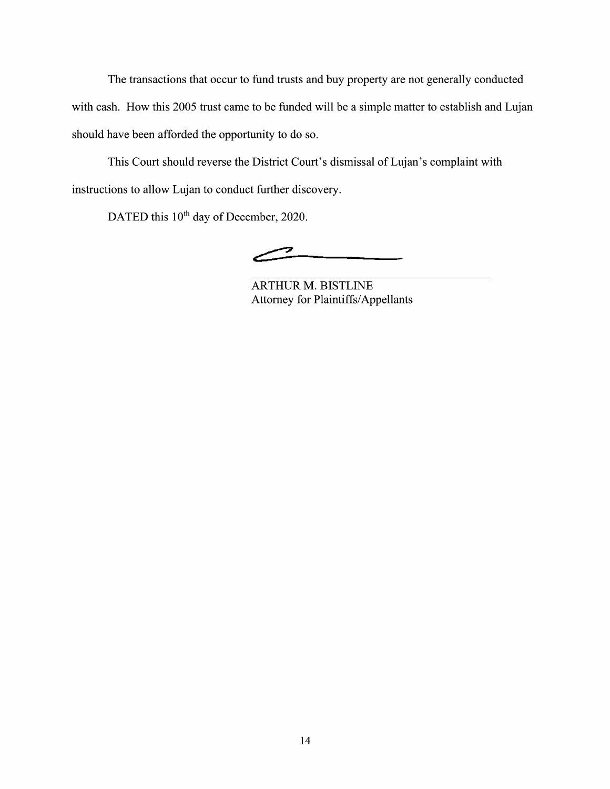The transactions that occur to fund trusts and buy property are not generally conducted with cash. How this 2005 trust came to be funded will be a simple matter to establish and Lujan should have been afforded the opportunity to do so.

This Court should reverse the District Court's dismissal of Lujan's complaint with instructions to allow Lujan to conduct further discovery.

DATED this 10<sup>th</sup> day of December, 2020.

7

ARTHUR M. BISTLINE Attorney for Plaintiffs/Appellants